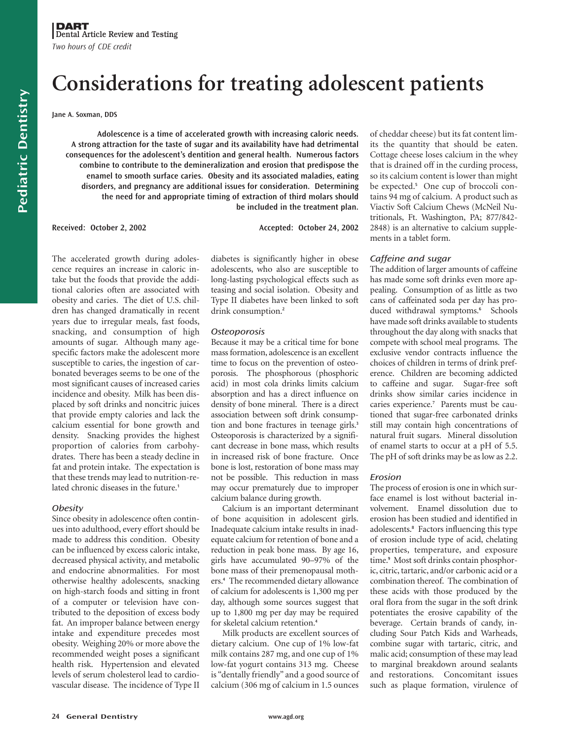# **Considerations for treating adolescent patients**

**Jane A. Soxman, DDS**

**Adolescence is a time of accelerated growth with increasing caloric needs. A strong attraction for the taste of sugar and its availability have had detrimental consequences for the adolescent's dentition and general health. Numerous factors combine to contribute to the demineralization and erosion that predispose the enamel to smooth surface caries. Obesity and its associated maladies, eating disorders, and pregnancy are additional issues for consideration. Determining the need for and appropriate timing of extraction of third molars should be included in the treatment plan.**

**Received: October 2, 2002 Accepted: October 24, 2002**

The accelerated growth during adolescence requires an increase in caloric intake but the foods that provide the additional calories often are associated with obesity and caries. The diet of U.S. children has changed dramatically in recent years due to irregular meals, fast foods, snacking, and consumption of high amounts of sugar. Although many agespecific factors make the adolescent more susceptible to caries, the ingestion of carbonated beverages seems to be one of the most significant causes of increased caries incidence and obesity. Milk has been displaced by soft drinks and noncitric juices that provide empty calories and lack the calcium essential for bone growth and density. Snacking provides the highest proportion of calories from carbohydrates. There has been a steady decline in fat and protein intake. The expectation is that these trends may lead to nutrition-related chronic diseases in the future.**<sup>1</sup>**

# **Obesity**

Since obesity in adolescence often continues into adulthood, every effort should be made to address this condition. Obesity can be influenced by excess caloric intake, decreased physical activity, and metabolic and endocrine abnormalities. For most otherwise healthy adolescents, snacking on high-starch foods and sitting in front of a computer or television have contributed to the deposition of excess body fat. An improper balance between energy intake and expenditure precedes most obesity. Weighing 20% or more above the recommended weight poses a significant health risk. Hypertension and elevated levels of serum cholesterol lead to cardiovascular disease. The incidence of Type II

diabetes is significantly higher in obese adolescents, who also are susceptible to long-lasting psychological effects such as teasing and social isolation. Obesity and Type II diabetes have been linked to soft drink consumption.**<sup>2</sup>**

# **Osteoporosis**

Because it may be a critical time for bone mass formation, adolescence is an excellent time to focus on the prevention of osteoporosis. The phosphorous (phosphoric acid) in most cola drinks limits calcium absorption and has a direct influence on density of bone mineral. There is a direct association between soft drink consumption and bone fractures in teenage girls.**<sup>3</sup>** Osteoporosis is characterized by a significant decrease in bone mass, which results in increased risk of bone fracture. Once bone is lost, restoration of bone mass may not be possible. This reduction in mass may occur prematurely due to improper calcium balance during growth.

Calcium is an important determinant of bone acquisition in adolescent girls. Inadequate calcium intake results in inadequate calcium for retention of bone and a reduction in peak bone mass. By age 16, girls have accumulated 90–97% of the bone mass of their premenopausal mothers.**<sup>4</sup>** The recommended dietary allowance of calcium for adolescents is 1,300 mg per day, although some sources suggest that up to 1,800 mg per day may be required for skeletal calcium retention.**<sup>4</sup>**

Milk products are excellent sources of dietary calcium. One cup of 1% low-fat milk contains 287 mg, and one cup of 1% low-fat yogurt contains 313 mg. Cheese is "dentally friendly" and a good source of calcium (306 mg of calcium in 1.5 ounces of cheddar cheese) but its fat content limits the quantity that should be eaten. Cottage cheese loses calcium in the whey that is drained off in the curding process, so its calcium content is lower than might be expected.**<sup>5</sup>** One cup of broccoli contains 94 mg of calcium. A product such as Viactiv Soft Calcium Chews (McNeil Nutritionals, Ft. Washington, PA; 877/842- 2848) is an alternative to calcium supplements in a tablet form.

# Caffeine and sugar

The addition of larger amounts of caffeine has made some soft drinks even more appealing. Consumption of as little as two cans of caffeinated soda per day has produced withdrawal symptoms.**<sup>6</sup>** Schools have made soft drinks available to students throughout the day along with snacks that compete with school meal programs. The exclusive vendor contracts influence the choices of children in terms of drink preference. Children are becoming addicted to caffeine and sugar. Sugar-free soft drinks show similar caries incidence in caries experience.**<sup>7</sup>** Parents must be cautioned that sugar-free carbonated drinks still may contain high concentrations of natural fruit sugars. Mineral dissolution of enamel starts to occur at a pH of 5.5. The pH of soft drinks may be as low as 2.2.

# Erosion

The process of erosion is one in which surface enamel is lost without bacterial involvement. Enamel dissolution due to erosion has been studied and identified in adolescents.**<sup>8</sup>** Factors influencing this type of erosion include type of acid, chelating properties, temperature, and exposure time.**<sup>9</sup>** Most soft drinks contain phosphoric, citric, tartaric, and/or carbonic acid or a combination thereof. The combination of these acids with those produced by the oral flora from the sugar in the soft drink potentiates the erosive capability of the beverage. Certain brands of candy, including Sour Patch Kids and Warheads, combine sugar with tartaric, citric, and malic acid; consumption of these may lead to marginal breakdown around sealants and restorations. Concomitant issues such as plaque formation, virulence of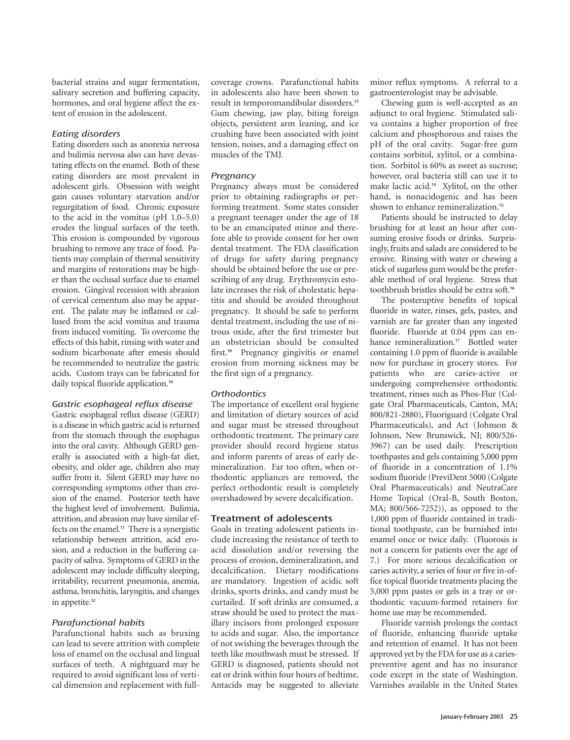bacterial strains and sugar fermentation, salivary secretion and buffering capacity, hormones, and oral hygiene affect the extent of erosion in the adolescent.

## Eating disorders

Eating disorders such as anorexia nervosa and bulimia nervosa also can have devastating effects on the enamel. Both of these eating disorders are most prevalent in adolescent girls. Obsession with weight gain causes voluntary starvation and/or regurgitation of food. Chronic exposure to the acid in the vomitus (pH 1.0–5.0) erodes the lingual surfaces of the teeth. This erosion is compounded by vigorous brushing to remove any trace of food. Patients may complain of thermal sensitivity and margins of restorations may be higher than the occlusal surface due to enamel erosion. Gingival recession with abrasion of cervical cementum also may be apparent. The palate may be inflamed or callused from the acid vomitus and trauma from induced vomiting. To overcome the effects of this habit, rinsing with water and sodium bicarbonate after emesis should be recommended to neutralize the gastric acids. Custom trays can be fabricated for daily topical fluoride application.**<sup>10</sup>**

#### Gastric esophageal reflux disease

Gastric esophageal reflux disease (GERD) is a disease in which gastric acid is returned from the stomach through the esophagus into the oral cavity. Although GERD generally is associated with a high-fat diet, obesity, and older age, children also may suffer from it. Silent GERD may have no corresponding symptoms other than erosion of the enamel. Posterior teeth have the highest level of involvement. Bulimia, attrition, and abrasion may have similar effects on the enamel.**<sup>11</sup>** There is a synergistic relationship between attrition, acid erosion, and a reduction in the buffering capacity of saliva. Symptoms of GERD in the adolescent may include difficulty sleeping, irritability, recurrent pneumonia, anemia, asthma, bronchitis, laryngitis, and changes in appetite.**<sup>12</sup>**

#### Parafunctional habits

Parafunctional habits such as bruxing can lead to severe attrition with complete loss of enamel on the occlusal and lingual surfaces of teeth. A nightguard may be required to avoid significant loss of vertical dimension and replacement with fullcoverage crowns. Parafunctional habits in adolescents also have been shown to result in temporomandibular disorders.**<sup>13</sup>** Gum chewing, jaw play, biting foreign objects, persistent arm leaning, and ice crushing have been associated with joint tension, noises, and a damaging effect on muscles of the TMJ.

## **Pregnancy**

Pregnancy always must be considered prior to obtaining radiographs or performing treatment. Some states consider a pregnant teenager under the age of 18 to be an emancipated minor and therefore able to provide consent for her own dental treatment. The FDA classification of drugs for safety during pregnancy should be obtained before the use or prescribing of any drug. Erythromycin estolate increases the risk of cholestatic hepatitis and should be avoided throughout pregnancy. It should be safe to perform dental treatment, including the use of nitrous oxide, after the first trimester but an obstetrician should be consulted first.**<sup>10</sup>** Pregnancy gingivitis or enamel erosion from morning sickness may be the first sign of a pregnancy.

#### **Orthodontics**

The importance of excellent oral hygiene and limitation of dietary sources of acid and sugar must be stressed throughout orthodontic treatment. The primary care provider should record hygiene status and inform parents of areas of early demineralization. Far too often, when orthodontic appliances are removed, the perfect orthodontic result is completely overshadowed by severe decalcification.

# **Treatment of adolescents**

Goals in treating adolescent patients include increasing the resistance of teeth to acid dissolution and/or reversing the process of erosion, demineralization, and decalcification. Dietary modifications are mandatory. Ingestion of acidic soft drinks, sports drinks, and candy must be curtailed. If soft drinks are consumed, a straw should be used to protect the maxillary incisors from prolonged exposure to acids and sugar. Also, the importance of not swishing the beverages through the teeth like mouthwash must be stressed. If GERD is diagnosed, patients should not eat or drink within four hours of bedtime. Antacids may be suggested to alleviate

minor reflux symptoms. A referral to a gastroenterologist may be advisable.

Chewing gum is well-accepted as an adjunct to oral hygiene. Stimulated saliva contains a higher proportion of free calcium and phosphorous and raises the pH of the oral cavity. Sugar-free gum contains sorbitol, xylitol, or a combination. Sorbitol is 60% as sweet as sucrose; however, oral bacteria still can use it to make lactic acid.**<sup>14</sup>** Xylitol, on the other hand, is nonacidogenic and has been shown to enhance remineralization.**<sup>15</sup>**

Patients should be instructed to delay brushing for at least an hour after consuming erosive foods or drinks. Surprisingly, fruits and salads are considered to be erosive. Rinsing with water or chewing a stick of sugarless gum would be the preferable method of oral hygiene. Stress that toothbrush bristles should be extra soft.**<sup>16</sup>**

The posteruptive benefits of topical fluoride in water, rinses, gels, pastes, and varnish are far greater than any ingested fluoride. Fluoride at 0.04 ppm can enhance remineralization.<sup>17</sup> Bottled water containing 1.0 ppm of fluoride is available now for purchase in grocery stores. For patients who are caries-active or undergoing comprehensive orthodontic treatment, rinses such as Phos-Flur (Colgate Oral Pharmaceuticals, Canton, MA; 800/821-2880), Fluoriguard (Colgate Oral Pharmaceuticals), and Act (Johnson & Johnson, New Brunswick, NJ; 800/526- 3967) can be used daily. Prescription toothpastes and gels containing 5,000 ppm of fluoride in a concentration of 1.1% sodium fluoride (PreviDent 5000 (Colgate Oral Pharmaceuticals) and NeutraCare Home Topical (Oral-B, South Boston, MA; 800/566-7252)), as opposed to the 1,000 ppm of fluoride contained in traditional toothpaste, can be burnished into enamel once or twice daily. (Fluorosis is not a concern for patients over the age of 7.) For more serious decalcification or caries activity, a series of four or five in-office topical fluoride treatments placing the 5,000 ppm pastes or gels in a tray or orthodontic vacuum-formed retainers for home use may be recommended.

Fluoride varnish prolongs the contact of fluoride, enhancing fluoride uptake and retention of enamel. It has not been approved yet by the FDA for use as a cariespreventive agent and has no insurance code except in the state of Washington. Varnishes available in the United States